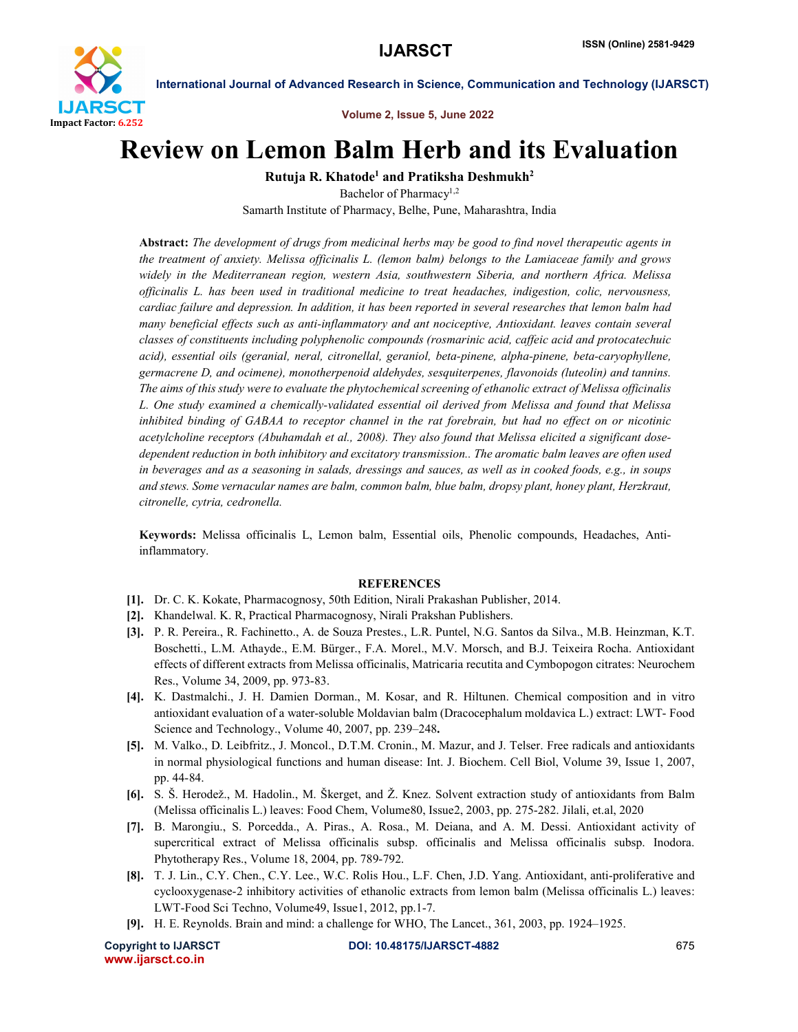

International Journal of Advanced Research in Science, Communication and Technology (IJARSCT)

Volume 2, Issue 5, June 2022

## Review on Lemon Balm Herb and its Evaluation

Rutuja R. Khatode<sup>1</sup> and Pratiksha Deshmukh<sup>2</sup>

Bachelor of Pharmacy<sup>1,2</sup> Samarth Institute of Pharmacy, Belhe, Pune, Maharashtra, India

Abstract: *The development of drugs from medicinal herbs may be good to find novel therapeutic agents in the treatment of anxiety. Melissa officinalis L. (lemon balm) belongs to the Lamiaceae family and grows widely in the Mediterranean region, western Asia, southwestern Siberia, and northern Africa. Melissa officinalis L. has been used in traditional medicine to treat headaches, indigestion, colic, nervousness, cardiac failure and depression. In addition, it has been reported in several researches that lemon balm had many beneficial effects such as anti-inflammatory and ant nociceptive, Antioxidant. leaves contain several classes of constituents including polyphenolic compounds (rosmarinic acid, caffeic acid and protocatechuic acid), essential oils (geranial, neral, citronellal, geraniol, beta-pinene, alpha-pinene, beta-caryophyllene, germacrene D, and ocimene), monotherpenoid aldehydes, sesquiterpenes, flavonoids (luteolin) and tannins. The aims of this study were to evaluate the phytochemical screening of ethanolic extract of Melissa officinalis L. One study examined a chemically-validated essential oil derived from Melissa and found that Melissa inhibited binding of GABAA to receptor channel in the rat forebrain, but had no effect on or nicotinic acetylcholine receptors (Abuhamdah et al., 2008). They also found that Melissa elicited a significant dosedependent reduction in both inhibitory and excitatory transmission.. The aromatic balm leaves are often used in beverages and as a seasoning in salads, dressings and sauces, as well as in cooked foods, e.g., in soups and stews. Some vernacular names are balm, common balm, blue balm, dropsy plant, honey plant, Herzkraut, citronelle, cytria, cedronella.*

Keywords: Melissa officinalis L, Lemon balm, Essential oils, Phenolic compounds, Headaches, Antiinflammatory.

## **REFERENCES**

- [1]. Dr. C. K. Kokate, Pharmacognosy, 50th Edition, Nirali Prakashan Publisher, 2014.
- [2]. Khandelwal. K. R, Practical Pharmacognosy, Nirali Prakshan Publishers.
- [3]. P. R. Pereira., R. Fachinetto., A. de Souza Prestes., L.R. Puntel, N.G. Santos da Silva., M.B. Heinzman, K.T. Boschetti., L.M. Athayde., E.M. Bürger., F.A. Morel., M.V. Morsch, and B.J. Teixeira Rocha. Antioxidant effects of different extracts from Melissa officinalis, Matricaria recutita and Cymbopogon citrates: Neurochem Res., Volume 34, 2009, pp. 973-83.
- [4]. K. Dastmalchi., J. H. Damien Dorman., M. Kosar, and R. Hiltunen. Chemical composition and in vitro antioxidant evaluation of a water-soluble Moldavian balm (Dracocephalum moldavica L.) extract: LWT- Food Science and Technology., Volume 40, 2007, pp. 239–248.
- [5]. M. Valko., D. Leibfritz., J. Moncol., D.T.M. Cronin., M. Mazur, and J. Telser. Free radicals and antioxidants in normal physiological functions and human disease: Int. J. Biochem. Cell Biol, Volume 39, Issue 1, 2007, pp. 44-84.
- [6]. S. Š. Herodež., M. Hadolin., M. Škerget, and Ž. Knez. Solvent extraction study of antioxidants from Balm (Melissa officinalis L.) leaves: Food Chem, Volume80, Issue2, 2003, pp. 275-282. Jilali, et.al, 2020
- [7]. B. Marongiu., S. Porcedda., A. Piras., A. Rosa., M. Deiana, and A. M. Dessi. Antioxidant activity of supercritical extract of Melissa officinalis subsp. officinalis and Melissa officinalis subsp. Inodora. Phytotherapy Res., Volume 18, 2004, pp. 789-792.
- [8]. T. J. Lin., C.Y. Chen., C.Y. Lee., W.C. Rolis Hou., L.F. Chen, J.D. Yang. Antioxidant, anti-proliferative and cyclooxygenase-2 inhibitory activities of ethanolic extracts from lemon balm (Melissa officinalis L.) leaves: LWT-Food Sci Techno, Volume49, Issue1, 2012, pp.1-7.
- [9]. H. E. Reynolds. Brain and mind: a challenge for WHO, The Lancet., 361, 2003, pp. 1924–1925.

www.ijarsct.co.in

Copyright to IJARSCT DOI: 10.48175/IJARSCT-4882 675